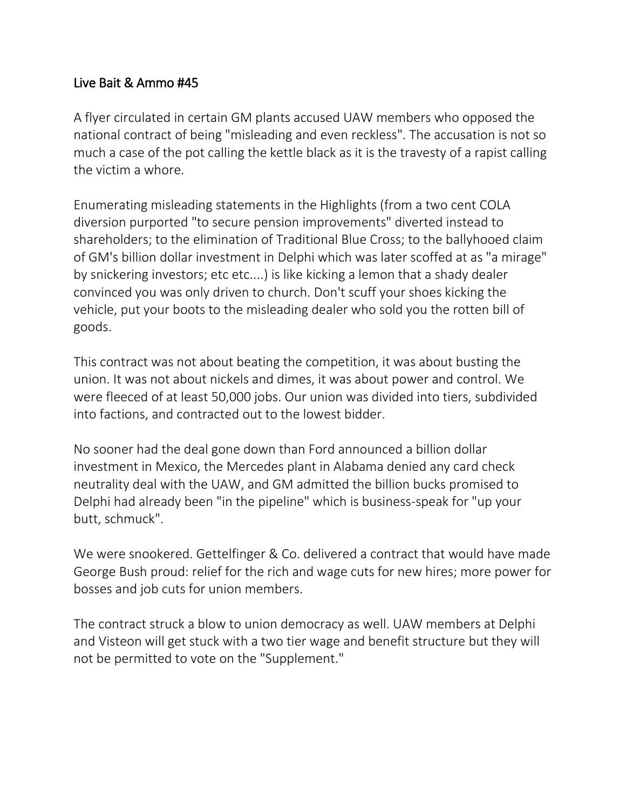## Live Bait & Ammo #45

A flyer circulated in certain GM plants accused UAW members who opposed the national contract of being "misleading and even reckless". The accusation is not so much a case of the pot calling the kettle black as it is the travesty of a rapist calling the victim a whore.

Enumerating misleading statements in the Highlights (from a two cent COLA diversion purported "to secure pension improvements" diverted instead to shareholders; to the elimination of Traditional Blue Cross; to the ballyhooed claim of GM's billion dollar investment in Delphi which was later scoffed at as "a mirage" by snickering investors; etc etc....) is like kicking a lemon that a shady dealer convinced you was only driven to church. Don't scuff your shoes kicking the vehicle, put your boots to the misleading dealer who sold you the rotten bill of goods.

This contract was not about beating the competition, it was about busting the union. It was not about nickels and dimes, it was about power and control. We were fleeced of at least 50,000 jobs. Our union was divided into tiers, subdivided into factions, and contracted out to the lowest bidder.

No sooner had the deal gone down than Ford announced a billion dollar investment in Mexico, the Mercedes plant in Alabama denied any card check neutrality deal with the UAW, and GM admitted the billion bucks promised to Delphi had already been "in the pipeline" which is business-speak for "up your butt, schmuck".

We were snookered. Gettelfinger & Co. delivered a contract that would have made George Bush proud: relief for the rich and wage cuts for new hires; more power for bosses and job cuts for union members.

The contract struck a blow to union democracy as well. UAW members at Delphi and Visteon will get stuck with a two tier wage and benefit structure but they will not be permitted to vote on the "Supplement."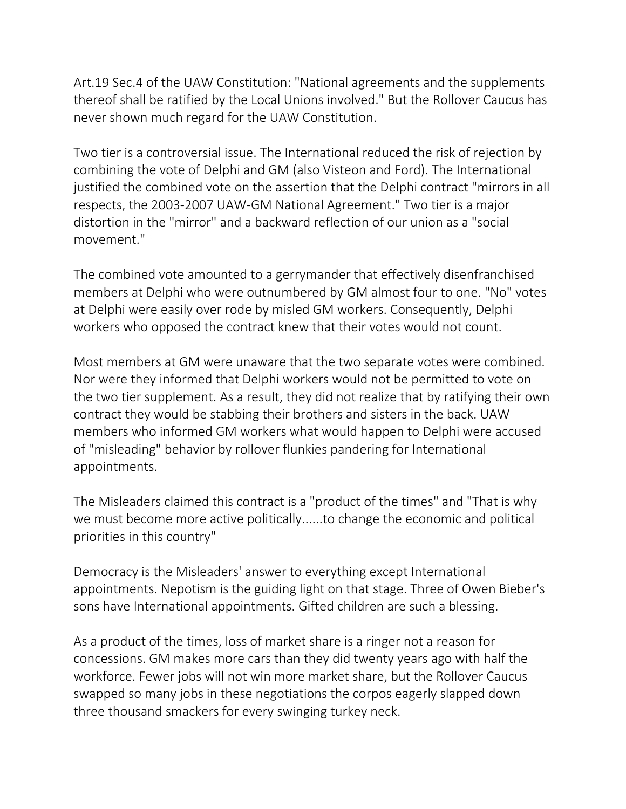Art.19 Sec.4 of the UAW Constitution: "National agreements and the supplements thereof shall be ratified by the Local Unions involved." But the Rollover Caucus has never shown much regard for the UAW Constitution.

Two tier is a controversial issue. The International reduced the risk of rejection by combining the vote of Delphi and GM (also Visteon and Ford). The International justified the combined vote on the assertion that the Delphi contract "mirrors in all respects, the 2003-2007 UAW-GM National Agreement." Two tier is a major distortion in the "mirror" and a backward reflection of our union as a "social movement."

The combined vote amounted to a gerrymander that effectively disenfranchised members at Delphi who were outnumbered by GM almost four to one. "No" votes at Delphi were easily over rode by misled GM workers. Consequently, Delphi workers who opposed the contract knew that their votes would not count.

Most members at GM were unaware that the two separate votes were combined. Nor were they informed that Delphi workers would not be permitted to vote on the two tier supplement. As a result, they did not realize that by ratifying their own contract they would be stabbing their brothers and sisters in the back. UAW members who informed GM workers what would happen to Delphi were accused of "misleading" behavior by rollover flunkies pandering for International appointments.

The Misleaders claimed this contract is a "product of the times" and "That is why we must become more active politically......to change the economic and political priorities in this country"

Democracy is the Misleaders' answer to everything except International appointments. Nepotism is the guiding light on that stage. Three of Owen Bieber's sons have International appointments. Gifted children are such a blessing.

As a product of the times, loss of market share is a ringer not a reason for concessions. GM makes more cars than they did twenty years ago with half the workforce. Fewer jobs will not win more market share, but the Rollover Caucus swapped so many jobs in these negotiations the corpos eagerly slapped down three thousand smackers for every swinging turkey neck.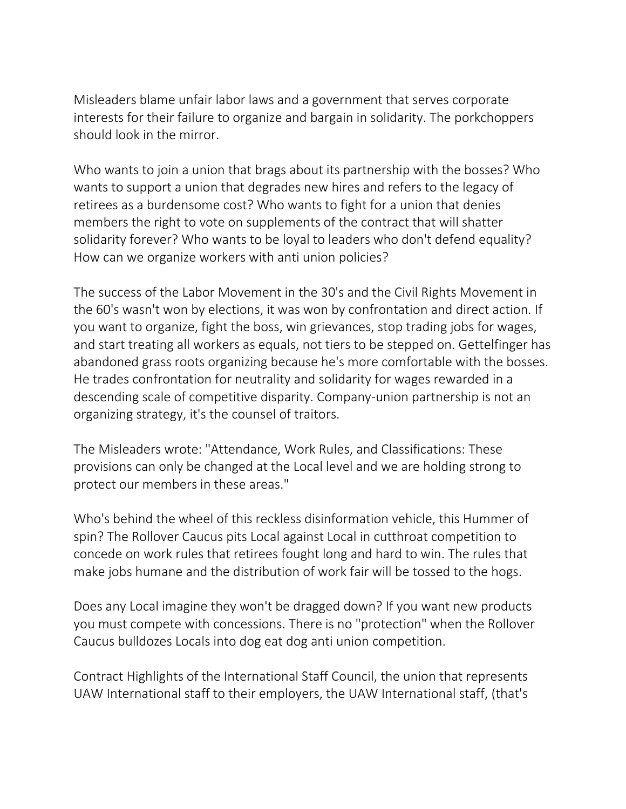Misleaders blame unfair labor laws and a government that serves corporate interests for their failure to organize and bargain in solidarity. The porkchoppers should look in the mirror.

Who wants to join a union that brags about its partnership with the bosses? Who wants to support a union that degrades new hires and refers to the legacy of retirees as a burdensome cost? Who wants to fight for a union that denies members the right to vote on supplements of the contract that will shatter solidarity forever? Who wants to be loyal to leaders who don't defend equality? How can we organize workers with anti union policies?

The success of the Labor Movement in the 30's and the Civil Rights Movement in the 60's wasn't won by elections, it was won by confrontation and direct action. If you want to organize, fight the boss, win grievances, stop trading jobs for wages, and start treating all workers as equals, not tiers to be stepped on. Gettelfinger has abandoned grass roots organizing because he's more comfortable with the bosses. He trades confrontation for neutrality and solidarity for wages rewarded in a descending scale of competitive disparity. Company-union partnership is not an organizing strategy, it's the counsel of traitors.

The Misleaders wrote: "Attendance, Work Rules, and Classifications: These provisions can only be changed at the Local level and we are holding strong to protect our members in these areas."

Who's behind the wheel of this reckless disinformation vehicle, this Hummer of spin? The Rollover Caucus pits Local against Local in cutthroat competition to concede on work rules that retirees fought long and hard to win. The rules that make jobs humane and the distribution of work fair will be tossed to the hogs.

Does any Local imagine they won't be dragged down? If you want new products you must compete with concessions. There is no "protection" when the Rollover Caucus bulldozes Locals into dog eat dog anti union competition.

Contract Highlights of the International Staff Council, the union that represents UAW International staff to their employers, the UAW International staff, (that's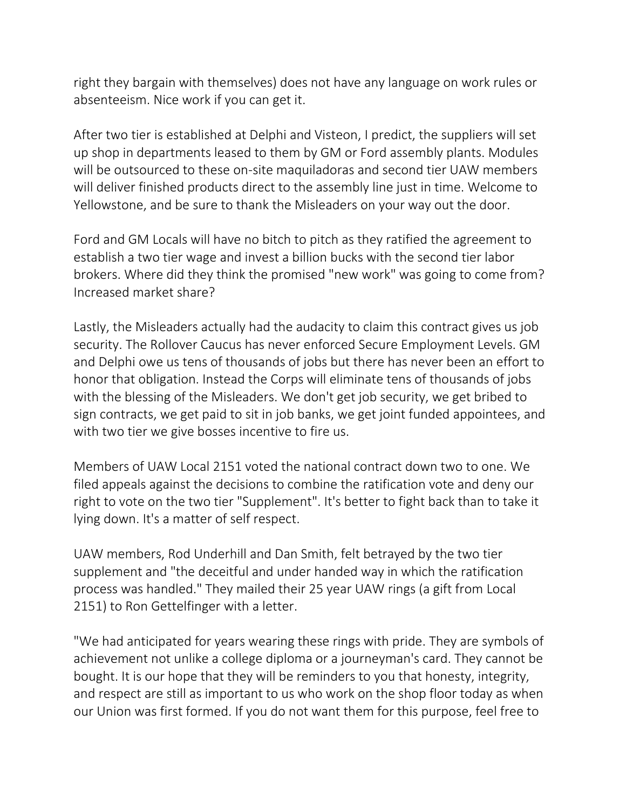right they bargain with themselves) does not have any language on work rules or absenteeism. Nice work if you can get it.

After two tier is established at Delphi and Visteon, I predict, the suppliers will set up shop in departments leased to them by GM or Ford assembly plants. Modules will be outsourced to these on-site maquiladoras and second tier UAW members will deliver finished products direct to the assembly line just in time. Welcome to Yellowstone, and be sure to thank the Misleaders on your way out the door.

Ford and GM Locals will have no bitch to pitch as they ratified the agreement to establish a two tier wage and invest a billion bucks with the second tier labor brokers. Where did they think the promised "new work" was going to come from? Increased market share?

Lastly, the Misleaders actually had the audacity to claim this contract gives us job security. The Rollover Caucus has never enforced Secure Employment Levels. GM and Delphi owe us tens of thousands of jobs but there has never been an effort to honor that obligation. Instead the Corps will eliminate tens of thousands of jobs with the blessing of the Misleaders. We don't get job security, we get bribed to sign contracts, we get paid to sit in job banks, we get joint funded appointees, and with two tier we give bosses incentive to fire us.

Members of UAW Local 2151 voted the national contract down two to one. We filed appeals against the decisions to combine the ratification vote and deny our right to vote on the two tier "Supplement". It's better to fight back than to take it lying down. It's a matter of self respect.

UAW members, Rod Underhill and Dan Smith, felt betrayed by the two tier supplement and "the deceitful and under handed way in which the ratification process was handled." They mailed their 25 year UAW rings (a gift from Local 2151) to Ron Gettelfinger with a letter.

"We had anticipated for years wearing these rings with pride. They are symbols of achievement not unlike a college diploma or a journeyman's card. They cannot be bought. It is our hope that they will be reminders to you that honesty, integrity, and respect are still as important to us who work on the shop floor today as when our Union was first formed. If you do not want them for this purpose, feel free to